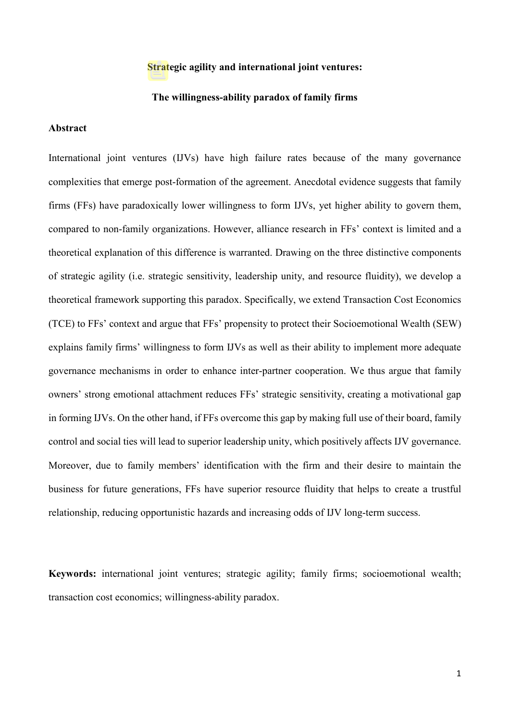#### **Strategic agility and international joint ventures:**

#### **The willingness-ability paradox of family firms**

#### **Abstract**

International joint ventures (IJVs) have high failure rates because of the many governance complexities that emerge post-formation of the agreement. Anecdotal evidence suggests that family firms (FFs) have paradoxically lower willingness to form IJVs, yet higher ability to govern them, compared to non-family organizations. However, alliance research in FFs' context is limited and a theoretical explanation of this difference is warranted. Drawing on the three distinctive components of strategic agility (i.e. strategic sensitivity, leadership unity, and resource fluidity), we develop a theoretical framework supporting this paradox. Specifically, we extend Transaction Cost Economics (TCE) to FFs' context and argue that FFs' propensity to protect their Socioemotional Wealth (SEW) explains family firms' willingness to form IJVs as well as their ability to implement more adequate governance mechanisms in order to enhance inter-partner cooperation. We thus argue that family owners' strong emotional attachment reduces FFs' strategic sensitivity, creating a motivational gap in forming IJVs. On the other hand, if FFs overcome this gap by making full use of their board, family control and social ties will lead to superior leadership unity, which positively affects IJV governance. Moreover, due to family members' identification with the firm and their desire to maintain the business for future generations, FFs have superior resource fluidity that helps to create a trustful relationship, reducing opportunistic hazards and increasing odds of IJV long-term success.

**Keywords:** international joint ventures; strategic agility; family firms; socioemotional wealth; transaction cost economics; willingness-ability paradox.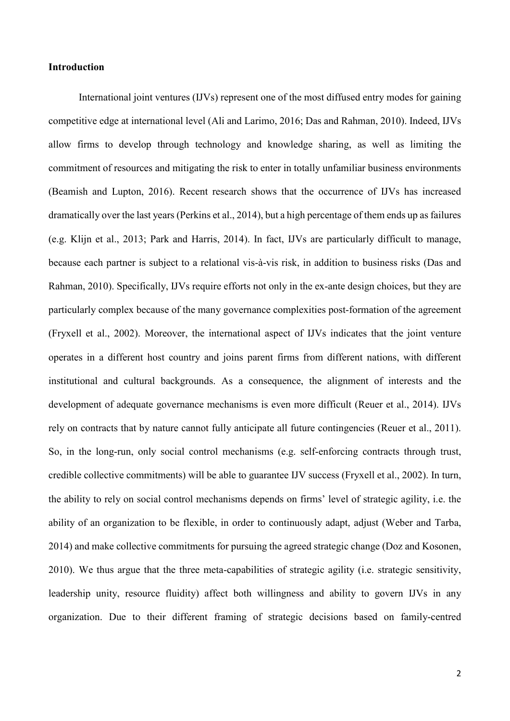## **Introduction**

International joint ventures (IJVs) represent one of the most diffused entry modes for gaining competitive edge at international level [\(Ali and Larimo, 2016;](#page-19-0) [Das and Rahman, 2010\)](#page-20-0). Indeed, IJVs allow firms to develop through technology and knowledge sharing, as well as limiting the commitment of resources and mitigating the risk to enter in totally unfamiliar business environments [\(Beamish and Lupton, 2016\)](#page-19-1). Recent research shows that the occurrence of IJVs has increased dramatically over the last years [\(Perkins et al., 2014\)](#page-24-0), but a high percentage of them ends up as failures (e.g. [Klijn et al., 2013;](#page-22-0) [Park and Harris, 2014\)](#page-23-0). In fact, IJVs are particularly difficult to manage, because each partner is subject to a relational vis-à-vis risk, in addition to business risks [\(Das and](#page-20-0)  [Rahman, 2010\)](#page-20-0). Specifically, IJVs require efforts not only in the ex-ante design choices, but they are particularly complex because of the many governance complexities post-formation of the agreement [\(Fryxell et al., 2002\)](#page-21-0). Moreover, the international aspect of IJVs indicates that the joint venture operates in a different host country and joins parent firms from different nations, with different institutional and cultural backgrounds. As a consequence, the alignment of interests and the development of adequate governance mechanisms is even more difficult [\(Reuer et al., 2014\)](#page-24-1). IJVs rely on contracts that by nature cannot fully anticipate all future contingencies [\(Reuer et al., 2011\)](#page-24-2). So, in the long-run, only social control mechanisms (e.g. self-enforcing contracts through trust, credible collective commitments) will be able to guarantee IJV success [\(Fryxell et al., 2002\)](#page-21-0). In turn, the ability to rely on social control mechanisms depends on firms' level of strategic agility, i.e. the ability of an organization to be flexible, in order to continuously adapt, adjust [\(Weber and Tarba,](#page-25-0)  [2014\)](#page-25-0) and make collective commitments for pursuing the agreed strategic change [\(Doz and Kosonen,](#page-21-1)  [2010\)](#page-21-1). We thus argue that the three meta-capabilities of strategic agility (i.e. strategic sensitivity, leadership unity, resource fluidity) affect both willingness and ability to govern IJVs in any organization. Due to their different framing of strategic decisions based on family-centred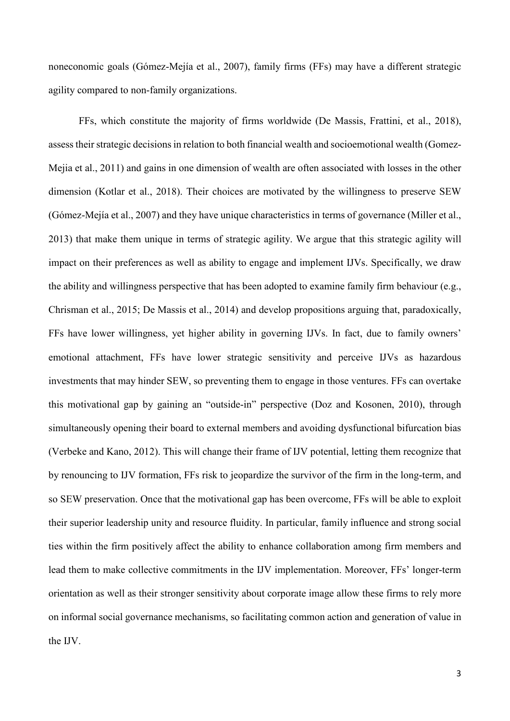noneconomic goals [\(Gómez-Mejía et al., 2007\)](#page-22-1), family firms (FFs) may have a different strategic agility compared to non-family organizations.

FFs, which constitute the majority of firms worldwide [\(De Massis, Frattini, et al., 2018\)](#page-21-2), assess their strategic decisions in relation to both financial wealth and socioemotional wealth [\(Gomez-](#page-21-3)[Mejia et al., 2011\)](#page-21-3) and gains in one dimension of wealth are often associated with losses in the other dimension [\(Kotlar et al., 2018\)](#page-23-1). Their choices are motivated by the willingness to preserve SEW [\(Gómez-Mejía et al., 2007\)](#page-22-1) and they have unique characteristics in terms of governance [\(Miller et al.,](#page-23-2)  [2013\)](#page-23-2) that make them unique in terms of strategic agility. We argue that this strategic agility will impact on their preferences as well as ability to engage and implement IJVs. Specifically, we draw the ability and willingness perspective that has been adopted to examine family firm behaviour (e.g., [Chrisman et al., 2015;](#page-20-1) [De Massis et al., 2014\)](#page-21-4) and develop propositions arguing that, paradoxically, FFs have lower willingness, yet higher ability in governing IJVs. In fact, due to family owners' emotional attachment, FFs have lower strategic sensitivity and perceive IJVs as hazardous investments that may hinder SEW, so preventing them to engage in those ventures. FFs can overtake this motivational gap by gaining an "outside-in" perspective [\(Doz and Kosonen, 2010\)](#page-21-1), through simultaneously opening their board to external members and avoiding dysfunctional bifurcation bias [\(Verbeke and Kano, 2012\)](#page-25-1). This will change their frame of IJV potential, letting them recognize that by renouncing to IJV formation, FFs risk to jeopardize the survivor of the firm in the long-term, and so SEW preservation. Once that the motivational gap has been overcome, FFs will be able to exploit their superior leadership unity and resource fluidity. In particular, family influence and strong social ties within the firm positively affect the ability to enhance collaboration among firm members and lead them to make collective commitments in the IJV implementation. Moreover, FFs' longer-term orientation as well as their stronger sensitivity about corporate image allow these firms to rely more on informal social governance mechanisms, so facilitating common action and generation of value in the IJV.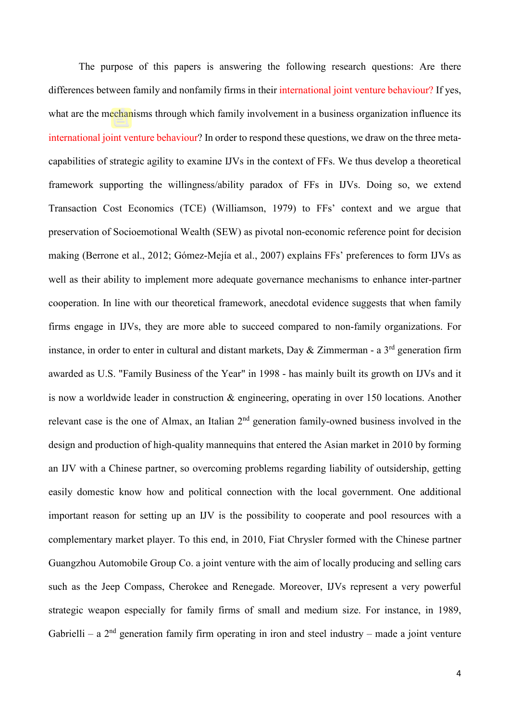The purpose of this papers is answering the following research questions: Are there differences between family and nonfamily firms in their international joint venture behaviour? If yes, what are the mechanisms through which family involvement in a business organization influence its international joint venture behaviour? In order to respond these questions, we draw on the three metacapabilities of strategic agility to examine IJVs in the context of FFs. We thus develop a theoretical framework supporting the willingness/ability paradox of FFs in IJVs. Doing so, we extend Transaction Cost Economics (TCE) [\(Williamson, 1979\)](#page-25-2) to FFs' context and we argue that preservation of Socioemotional Wealth (SEW) as pivotal non-economic reference point for decision making [\(Berrone et al., 2012;](#page-19-2) [Gómez-Mejía et al., 2007\)](#page-22-1) explains FFs' preferences to form IJVs as well as their ability to implement more adequate governance mechanisms to enhance inter-partner cooperation. In line with our theoretical framework, anecdotal evidence suggests that when family firms engage in IJVs, they are more able to succeed compared to non-family organizations. For instance, in order to enter in cultural and distant markets, Day & Zimmerman - a  $3<sup>rd</sup>$  generation firm awarded as U.S. "Family Business of the Year" in 1998 - has mainly built its growth on IJVs and it is now a worldwide leader in construction & engineering, operating in over 150 locations. Another relevant case is the one of Almax, an Italian 2<sup>nd</sup> generation family-owned business involved in the design and production of high-quality mannequins that entered the Asian market in 2010 by forming an IJV with a Chinese partner, so overcoming problems regarding liability of outsidership, getting easily domestic know how and political connection with the local government. One additional important reason for setting up an IJV is the possibility to cooperate and pool resources with a complementary market player. To this end, in 2010, Fiat Chrysler formed with the Chinese partner Guangzhou Automobile Group Co. a joint venture with the aim of locally producing and selling cars such as the Jeep Compass, Cherokee and Renegade. Moreover, IJVs represent a very powerful strategic weapon especially for family firms of small and medium size. For instance, in 1989, Gabrielli – a  $2<sup>nd</sup>$  generation family firm operating in iron and steel industry – made a joint venture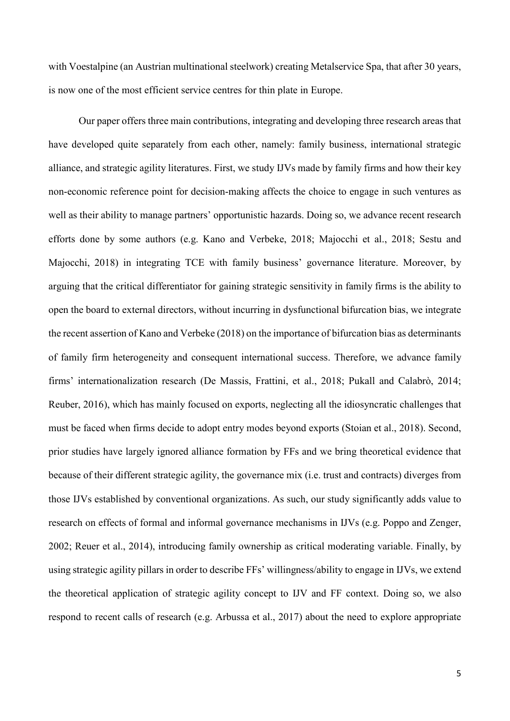with Voestalpine (an Austrian multinational steelwork) creating Metalservice Spa, that after 30 years, is now one of the most efficient service centres for thin plate in Europe.

Our paper offers three main contributions, integrating and developing three research areas that have developed quite separately from each other, namely: family business, international strategic alliance, and strategic agility literatures. First, we study IJVs made by family firms and how their key non-economic reference point for decision-making affects the choice to engage in such ventures as well as their ability to manage partners' opportunistic hazards. Doing so, we advance recent research efforts done by some authors (e.g. [Kano and Verbeke, 2018;](#page-22-2) [Majocchi et al., 2018;](#page-23-3) [Sestu and](#page-24-3) [Majocchi, 2018\)](#page-24-3) in integrating TCE with family business' governance literature. Moreover, by arguing that the critical differentiator for gaining strategic sensitivity in family firms is the ability to open the board to external directors, without incurring in dysfunctional bifurcation bias, we integrate the recent assertion o[f Kano and Verbeke \(2018\)](#page-22-2) on the importance of bifurcation bias as determinants of family firm heterogeneity and consequent international success. Therefore, we advance family firms' internationalization research [\(De Massis, Frattini, et al., 2018;](#page-21-2) [Pukall and Calabrò, 2014;](#page-24-4) [Reuber, 2016\)](#page-24-5), which has mainly focused on exports, neglecting all the idiosyncratic challenges that must be faced when firms decide to adopt entry modes beyond exports [\(Stoian et al., 2018\)](#page-25-3). Second, prior studies have largely ignored alliance formation by FFs and we bring theoretical evidence that because of their different strategic agility, the governance mix (i.e. trust and contracts) diverges from those IJVs established by conventional organizations. As such, our study significantly adds value to research on effects of formal and informal governance mechanisms in IJVs (e.g. [Poppo and Zenger,](#page-24-6)  [2002;](#page-24-6) [Reuer et al., 2014\)](#page-24-1), introducing family ownership as critical moderating variable. Finally, by using strategic agility pillars in order to describe FFs' willingness/ability to engage in IJVs, we extend the theoretical application of strategic agility concept to IJV and FF context. Doing so, we also respond to recent calls of research [\(e.g. Arbussa et al., 2017\)](#page-19-3) about the need to explore appropriate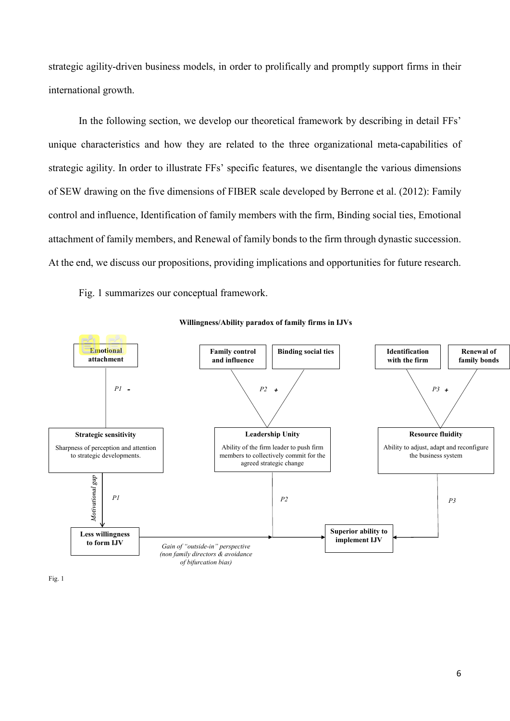strategic agility-driven business models, in order to prolifically and promptly support firms in their international growth.

In the following section, we develop our theoretical framework by describing in detail FFs' unique characteristics and how they are related to the three organizational meta-capabilities of strategic agility. In order to illustrate FFs' specific features, we disentangle the various dimensions of SEW drawing on the five dimensions of FIBER scale developed by [Berrone et al. \(2012\):](#page-19-2) Family control and influence, Identification of family members with the firm, Binding social ties, Emotional attachment of family members, and Renewal of family bonds to the firm through dynastic succession. At the end, we discuss our propositions, providing implications and opportunities for future research.

Fig. 1 summarizes our conceptual framework.



#### **Willingness/Ability paradox of family firms in IJVs**

Fig. 1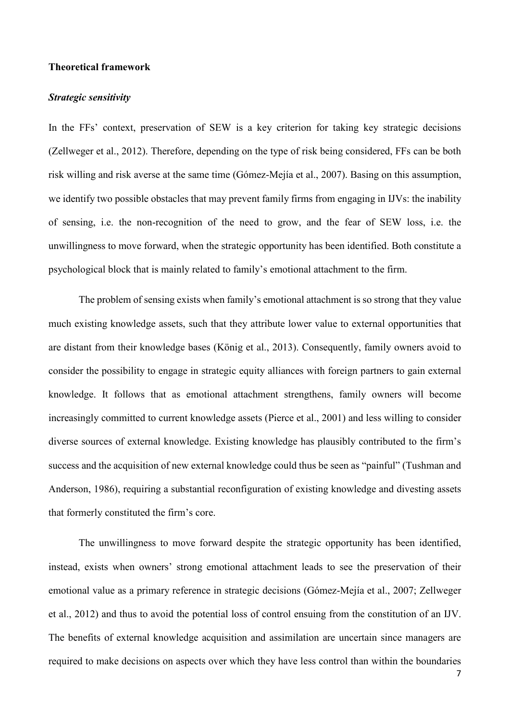# **Theoretical framework**

#### *Strategic sensitivity*

In the FFs' context, preservation of SEW is a key criterion for taking key strategic decisions [\(Zellweger et al., 2012\)](#page-25-4). Therefore, depending on the type of risk being considered, FFs can be both risk willing and risk averse at the same time [\(Gómez-Mejía et al., 2007\)](#page-22-1). Basing on this assumption, we identify two possible obstacles that may prevent family firms from engaging in IJVs: the inability of sensing, i.e. the non-recognition of the need to grow, and the fear of SEW loss, i.e. the unwillingness to move forward, when the strategic opportunity has been identified. Both constitute a psychological block that is mainly related to family's emotional attachment to the firm.

The problem of sensing exists when family's emotional attachment is so strong that they value much existing knowledge assets, such that they attribute lower value to external opportunities that are distant from their knowledge bases [\(König et al., 2013\)](#page-22-3). Consequently, family owners avoid to consider the possibility to engage in strategic equity alliances with foreign partners to gain external knowledge. It follows that as emotional attachment strengthens, family owners will become increasingly committed to current knowledge assets [\(Pierce et al., 2001\)](#page-24-7) and less willing to consider diverse sources of external knowledge. Existing knowledge has plausibly contributed to the firm's success and the acquisition of new external knowledge could thus be seen as "painful" [\(Tushman and](#page-25-5)  [Anderson, 1986\)](#page-25-5), requiring a substantial reconfiguration of existing knowledge and divesting assets that formerly constituted the firm's core.

The unwillingness to move forward despite the strategic opportunity has been identified, instead, exists when owners' strong emotional attachment leads to see the preservation of their emotional value as a primary reference in strategic decisions [\(Gómez-Mejía et al., 2007;](#page-22-1) [Zellweger](#page-25-4)  [et al., 2012\)](#page-25-4) and thus to avoid the potential loss of control ensuing from the constitution of an IJV. The benefits of external knowledge acquisition and assimilation are uncertain since managers are required to make decisions on aspects over which they have less control than within the boundaries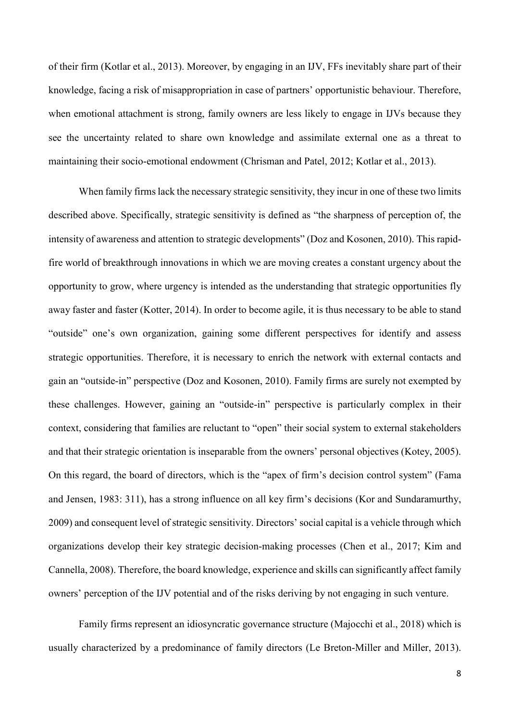of their firm [\(Kotlar et al., 2013\)](#page-23-4). Moreover, by engaging in an IJV, FFs inevitably share part of their knowledge, facing a risk of misappropriation in case of partners' opportunistic behaviour. Therefore, when emotional attachment is strong, family owners are less likely to engage in IJVs because they see the uncertainty related to share own knowledge and assimilate external one as a threat to maintaining their socio-emotional endowment [\(Chrisman and Patel, 2012;](#page-20-2) [Kotlar et al., 2013\)](#page-23-4).

When family firms lack the necessary strategic sensitivity, they incur in one of these two limits described above. Specifically, strategic sensitivity is defined as "the sharpness of perception of, the intensity of awareness and attention to strategic developments" [\(Doz and Kosonen, 2010\)](#page-21-1). This rapidfire world of breakthrough innovations in which we are moving creates a constant urgency about the opportunity to grow, where urgency is intended as the understanding that strategic opportunities fly away faster and faster [\(Kotter, 2014\)](#page-23-5). In order to become agile, it is thus necessary to be able to stand "outside" one's own organization, gaining some different perspectives for identify and assess strategic opportunities. Therefore, it is necessary to enrich the network with external contacts and gain an "outside-in" perspective [\(Doz and Kosonen, 2010\)](#page-21-1). Family firms are surely not exempted by these challenges. However, gaining an "outside-in" perspective is particularly complex in their context, considering that families are reluctant to "open" their social system to external stakeholders and that their strategic orientation is inseparable from the owners' personal objectives [\(Kotey, 2005\)](#page-22-4). On this regard, the board of directors, which is the "apex of firm's decision control system" [\(Fama](#page-21-5)  [and Jensen, 1983: 311\)](#page-21-5), has a strong influence on all key firm's decisions [\(Kor and Sundaramurthy,](#page-22-5)  [2009\)](#page-22-5) and consequent level of strategic sensitivity. Directors' social capital is a vehicle through which organizations develop their key strategic decision-making processes [\(Chen et al., 2017;](#page-20-3) [Kim and](#page-22-6)  [Cannella, 2008\)](#page-22-6). Therefore, the board knowledge, experience and skills can significantly affect family owners' perception of the IJV potential and of the risks deriving by not engaging in such venture.

Family firms represent an idiosyncratic governance structure [\(Majocchi et al., 2018\)](#page-23-3) which is usually characterized by a predominance of family directors ([Le Breton‐Miller and Miller, 2013](#page-23-6)).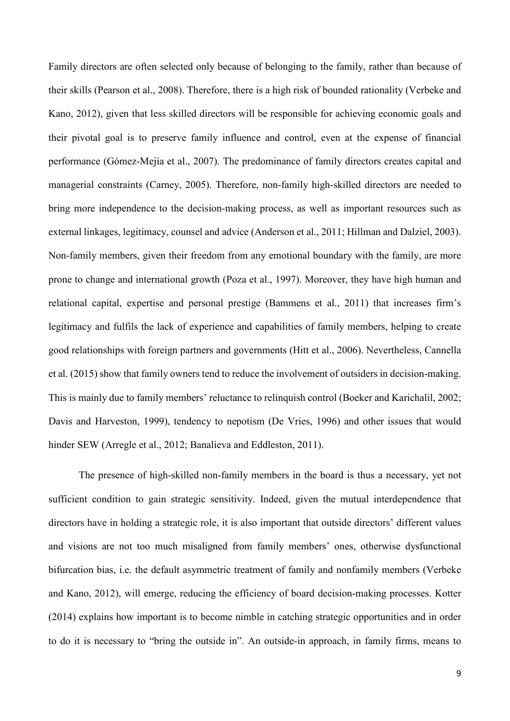Family directors are often selected only because of belonging to the family, rather than because of their skills [\(Pearson et al., 2008\)](#page-24-8). Therefore, there is a high risk of bounded rationality [\(Verbeke and](#page-25-1)  [Kano, 2012\)](#page-25-1), given that less skilled directors will be responsible for achieving economic goals and their pivotal goal is to preserve family influence and control, even at the expense of financial performance [\(Gómez-Mejía et al., 2007\)](#page-22-1). The predominance of family directors creates capital and managerial constraints [\(Carney, 2005\)](#page-20-4). Therefore, non-family high-skilled directors are needed to bring more independence to the decision-making process, as well as important resources such as external linkages, legitimacy, counsel and advice [\(Anderson et al., 2011;](#page-19-4) [Hillman and Dalziel, 2003\)](#page-22-7). Non-family members, given their freedom from any emotional boundary with the family, are more prone to change and international growth [\(Poza et al., 1997\)](#page-24-9). Moreover, they have high human and relational capital, expertise and personal prestige [\(Bammens et al., 2011\)](#page-19-5) that increases firm's legitimacy and fulfils the lack of experience and capabilities of family members, helping to create good relationships with foreign partners and governments [\(Hitt et al., 2006\)](#page-22-8). Nevertheless, [Cannella](#page-20-5)  et al. (2015) show that family owners tend to reduce the involvement of outsiders in decision-making. This is mainly due to family members' reluctance to relinquish control [\(Boeker and Karichalil, 2002;](#page-20-6) [Davis and Harveston, 1999\)](#page-20-7), tendency to nepotism [\(De Vries, 1996\)](#page-21-6) and other issues that would hinder SEW [\(Arregle et al., 2012;](#page-19-6) [Banalieva and Eddleston, 2011\)](#page-19-7).

The presence of high-skilled non-family members in the board is thus a necessary, yet not sufficient condition to gain strategic sensitivity. Indeed, given the mutual interdependence that directors have in holding a strategic role, it is also important that outside directors' different values and visions are not too much misaligned from family members' ones, otherwise dysfunctional bifurcation bias, i.e. the default asymmetric treatment of family and nonfamily members [\(Verbeke](#page-25-1)  [and Kano, 2012\)](#page-25-1), will emerge, reducing the efficiency of board decision-making processes. [Kotter](#page-23-5)  (2014) explains how important is to become nimble in catching strategic opportunities and in order to do it is necessary to "bring the outside in". An outside-in approach, in family firms, means to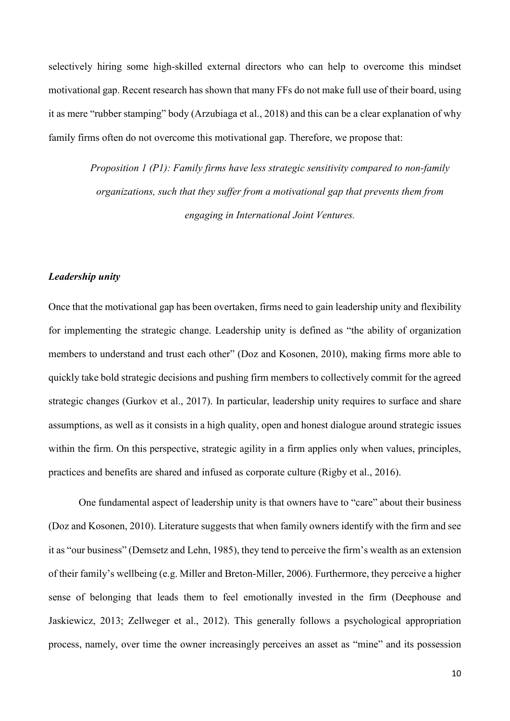selectively hiring some high-skilled external directors who can help to overcome this mindset motivational gap. Recent research has shown that many FFs do not make full use of their board, using it as mere "rubber stamping" body [\(Arzubiaga et al., 2018\)](#page-19-8) and this can be a clear explanation of why family firms often do not overcome this motivational gap. Therefore, we propose that:

> *Proposition 1 (P1): Family firms have less strategic sensitivity compared to non-family organizations, such that they suffer from a motivational gap that prevents them from engaging in International Joint Ventures.*

## *Leadership unity*

Once that the motivational gap has been overtaken, firms need to gain leadership unity and flexibility for implementing the strategic change. Leadership unity is defined as "the ability of organization members to understand and trust each other" [\(Doz and Kosonen, 2010\)](#page-21-1), making firms more able to quickly take bold strategic decisions and pushing firm members to collectively commit for the agreed strategic changes [\(Gurkov et al., 2017\)](#page-22-9). In particular, leadership unity requires to surface and share assumptions, as well as it consists in a high quality, open and honest dialogue around strategic issues within the firm. On this perspective, strategic agility in a firm applies only when values, principles, practices and benefits are shared and infused as corporate culture [\(Rigby et al., 2016\)](#page-24-10).

One fundamental aspect of leadership unity is that owners have to "care" about their business [\(Doz and Kosonen, 2010\)](#page-21-1). Literature suggests that when family owners identify with the firm and see it as "our business" [\(Demsetz and Lehn, 1985\)](#page-21-7), they tend to perceive the firm's wealth as an extension of their family's wellbeing ([e.g. Miller and Breton‐Miller, 2006](#page-23-7)). Furthermore, they perceive a higher sense of belonging that leads them to feel emotionally invested in the firm [\(Deephouse and](#page-21-8)  [Jaskiewicz, 2013;](#page-21-8) [Zellweger et al., 2012\)](#page-25-4). This generally follows a psychological appropriation process, namely, over time the owner increasingly perceives an asset as "mine" and its possession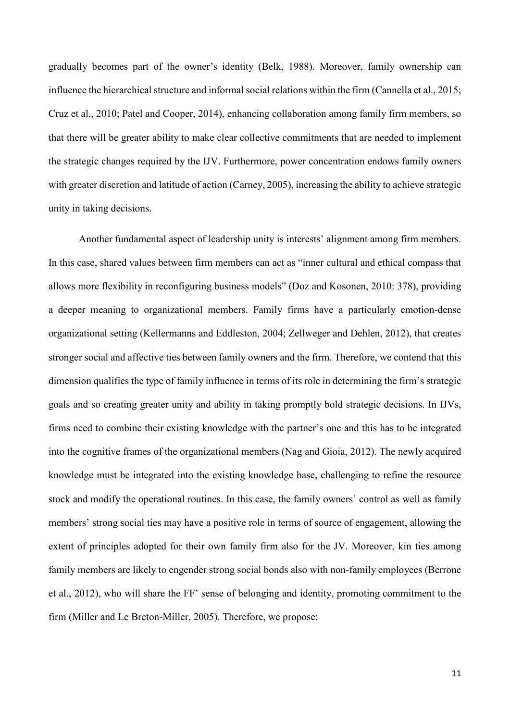gradually becomes part of the owner's identity [\(Belk, 1988\)](#page-19-9). Moreover, family ownership can influence the hierarchical structure and informal social relations within the firm [\(Cannella et al., 2015;](#page-20-5) [Cruz et al., 2010;](#page-20-8) [Patel and Cooper, 2014\)](#page-24-11), enhancing collaboration among family firm members, so that there will be greater ability to make clear collective commitments that are needed to implement the strategic changes required by the IJV. Furthermore, power concentration endows family owners with greater discretion and latitude of action [\(Carney, 2005\)](#page-20-4), increasing the ability to achieve strategic unity in taking decisions.

Another fundamental aspect of leadership unity is interests' alignment among firm members. In this case, shared values between firm members can act as "inner cultural and ethical compass that allows more flexibility in reconfiguring business models" [\(Doz and Kosonen, 2010: 378\)](#page-21-1), providing a deeper meaning to organizational members. Family firms have a particularly emotion-dense organizational setting [\(Kellermanns and Eddleston, 2004;](#page-22-10) [Zellweger and Dehlen, 2012\)](#page-25-6), that creates stronger social and affective ties between family owners and the firm. Therefore, we contend that this dimension qualifies the type of family influence in terms of its role in determining the firm's strategic goals and so creating greater unity and ability in taking promptly bold strategic decisions. In IJVs, firms need to combine their existing knowledge with the partner's one and this has to be integrated into the cognitive frames of the organizational members [\(Nag and Gioia, 2012\)](#page-23-8). The newly acquired knowledge must be integrated into the existing knowledge base, challenging to refine the resource stock and modify the operational routines. In this case, the family owners' control as well as family members' strong social ties may have a positive role in terms of source of engagement, allowing the extent of principles adopted for their own family firm also for the JV. Moreover, kin ties among family members are likely to engender strong social bonds also with non-family employees [\(Berrone](#page-19-2)  [et al., 2012\)](#page-19-2), who will share the FF' sense of belonging and identity, promoting commitment to the firm [\(Miller and Le Breton-Miller, 2005\)](#page-23-9). Therefore, we propose: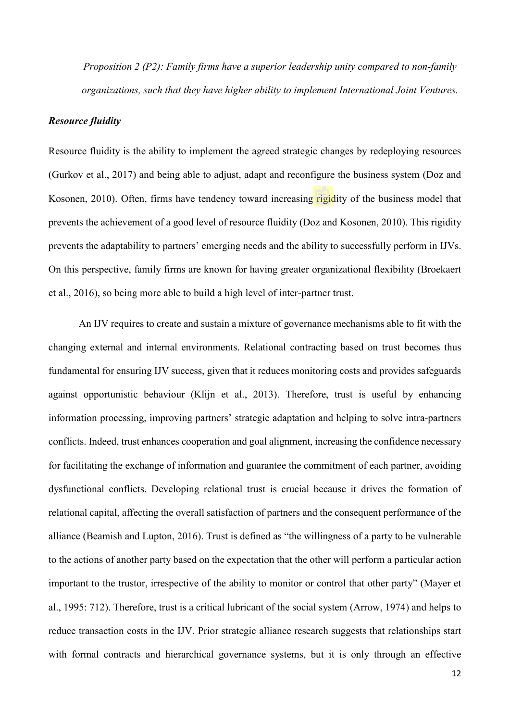*Proposition 2 (P2): Family firms have a superior leadership unity compared to non-family organizations, such that they have higher ability to implement International Joint Ventures.*

## *Resource fluidity*

Resource fluidity is the ability to implement the agreed strategic changes by redeploying resources [\(Gurkov et al., 2017\)](#page-22-9) and being able to adjust, adapt and reconfigure the business system [\(Doz and](#page-21-1)  [Kosonen, 2010\)](#page-21-1). Often, firms have tendency toward increasing rigidity of the business model that prevents the achievement of a good level of resource fluidity [\(Doz and Kosonen, 2010\)](#page-21-1). This rigidity prevents the adaptability to partners' emerging needs and the ability to successfully perform in IJVs. On this perspective, family firms are known for having greater organizational flexibility [\(Broekaert](#page-20-9)  [et al., 2016\)](#page-20-9), so being more able to build a high level of inter-partner trust.

An IJV requires to create and sustain a mixture of governance mechanisms able to fit with the changing external and internal environments. Relational contracting based on trust becomes thus fundamental for ensuring IJV success, given that it reduces monitoring costs and provides safeguards against opportunistic behaviour [\(Klijn et al., 2013\)](#page-22-0). Therefore, trust is useful by enhancing information processing, improving partners' strategic adaptation and helping to solve intra-partners conflicts. Indeed, trust enhances cooperation and goal alignment, increasing the confidence necessary for facilitating the exchange of information and guarantee the commitment of each partner, avoiding dysfunctional conflicts. Developing relational trust is crucial because it drives the formation of relational capital, affecting the overall satisfaction of partners and the consequent performance of the alliance [\(Beamish and Lupton, 2016\)](#page-19-1). Trust is defined as "the willingness of a party to be vulnerable to the actions of another party based on the expectation that the other will perform a particular action important to the trustor, irrespective of the ability to monitor or control that other party" [\(Mayer et](#page-23-10)  [al., 1995: 712\)](#page-23-10). Therefore, trust is a critical lubricant of the social system [\(Arrow, 1974\)](#page-19-10) and helps to reduce transaction costs in the IJV. Prior strategic alliance research suggests that relationships start with formal contracts and hierarchical governance systems, but it is only through an effective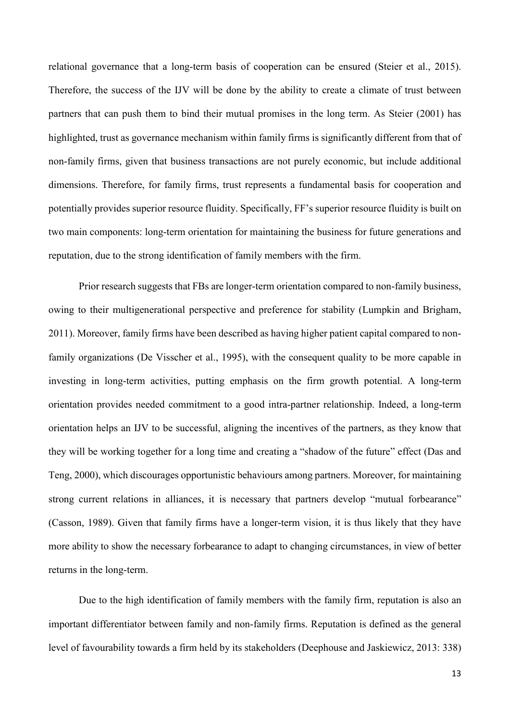relational governance that a long-term basis of cooperation can be ensured [\(Steier et al., 2015\)](#page-25-7). Therefore, the success of the IJV will be done by the ability to create a climate of trust between partners that can push them to bind their mutual promises in the long term. As [Steier \(2001\)](#page-24-12) has highlighted, trust as governance mechanism within family firms is significantly different from that of non-family firms, given that business transactions are not purely economic, but include additional dimensions. Therefore, for family firms, trust represents a fundamental basis for cooperation and potentially provides superior resource fluidity. Specifically, FF's superior resource fluidity is built on two main components: long-term orientation for maintaining the business for future generations and reputation, due to the strong identification of family members with the firm.

Prior research suggests that FBs are longer-term orientation compared to non-family business, owing to their multigenerational perspective and preference for stability [\(Lumpkin and Brigham,](#page-23-11)  [2011\)](#page-23-11). Moreover, family firms have been described as having higher patient capital compared to nonfamily organizations [\(De Visscher et al., 1995\)](#page-21-9), with the consequent quality to be more capable in investing in long-term activities, putting emphasis on the firm growth potential. A long-term orientation provides needed commitment to a good intra-partner relationship. Indeed, a long-term orientation helps an IJV to be successful, aligning the incentives of the partners, as they know that they will be working together for a long time and creating a "shadow of the future" effect [\(Das and](#page-20-10)  [Teng, 2000\)](#page-20-10), which discourages opportunistic behaviours among partners. Moreover, for maintaining strong current relations in alliances, it is necessary that partners develop "mutual forbearance" [\(Casson, 1989\)](#page-20-11). Given that family firms have a longer-term vision, it is thus likely that they have more ability to show the necessary forbearance to adapt to changing circumstances, in view of better returns in the long-term.

Due to the high identification of family members with the family firm, reputation is also an important differentiator between family and non-family firms. Reputation is defined as the general level of favourability towards a firm held by its stakeholders [\(Deephouse and Jaskiewicz, 2013: 338\)](#page-21-8)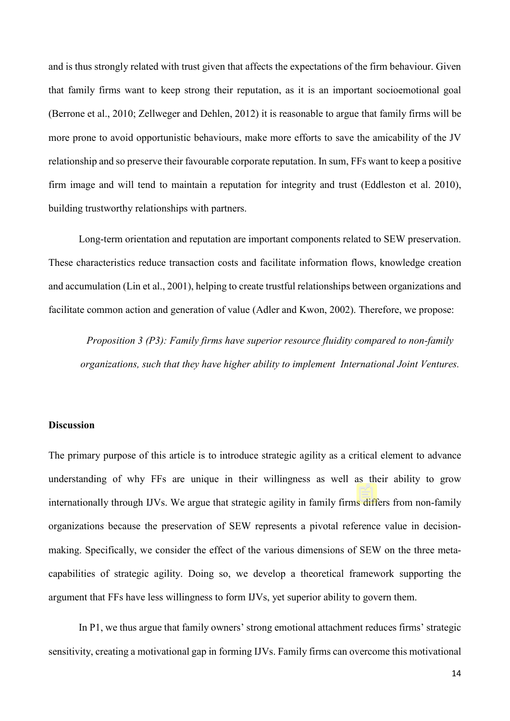and is thus strongly related with trust given that affects the expectations of the firm behaviour. Given that family firms want to keep strong their reputation, as it is an important socioemotional goal [\(Berrone et al., 2010;](#page-20-12) [Zellweger and Dehlen, 2012\)](#page-25-6) it is reasonable to argue that family firms will be more prone to avoid opportunistic behaviours, make more efforts to save the amicability of the JV relationship and so preserve their favourable corporate reputation. In sum, FFs want to keep a positive firm image and will tend to maintain a reputation for integrity and trust (Eddleston et al. 2010), building trustworthy relationships with partners.

Long-term orientation and reputation are important components related to SEW preservation. These characteristics reduce transaction costs and facilitate information flows, knowledge creation and accumulation [\(Lin et al., 2001\)](#page-23-12), helping to create trustful relationships between organizations and facilitate common action and generation of value [\(Adler and Kwon, 2002\)](#page-19-11). Therefore, we propose:

*Proposition 3 (P3): Family firms have superior resource fluidity compared to non-family organizations, such that they have higher ability to implement International Joint Ventures.*

### **Discussion**

The primary purpose of this article is to introduce strategic agility as a critical element to advance understanding of why FFs are unique in their willingness as well as their ability to grow internationally through IJVs. We argue that strategic agility in family firms differs from non-family organizations because the preservation of SEW represents a pivotal reference value in decisionmaking. Specifically, we consider the effect of the various dimensions of SEW on the three metacapabilities of strategic agility. Doing so, we develop a theoretical framework supporting the argument that FFs have less willingness to form IJVs, yet superior ability to govern them.

In P1, we thus argue that family owners' strong emotional attachment reduces firms' strategic sensitivity, creating a motivational gap in forming IJVs. Family firms can overcome this motivational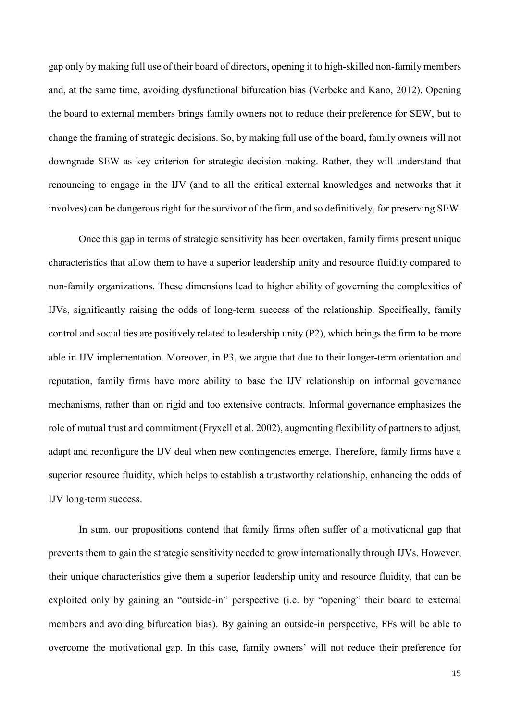gap only by making full use of their board of directors, opening it to high-skilled non-family members and, at the same time, avoiding dysfunctional bifurcation bias [\(Verbeke and Kano, 2012\)](#page-25-1). Opening the board to external members brings family owners not to reduce their preference for SEW, but to change the framing of strategic decisions. So, by making full use of the board, family owners will not downgrade SEW as key criterion for strategic decision-making. Rather, they will understand that renouncing to engage in the IJV (and to all the critical external knowledges and networks that it involves) can be dangerous right for the survivor of the firm, and so definitively, for preserving SEW.

Once this gap in terms of strategic sensitivity has been overtaken, family firms present unique characteristics that allow them to have a superior leadership unity and resource fluidity compared to non-family organizations. These dimensions lead to higher ability of governing the complexities of IJVs, significantly raising the odds of long-term success of the relationship. Specifically, family control and social ties are positively related to leadership unity (P2), which brings the firm to be more able in IJV implementation. Moreover, in P3, we argue that due to their longer-term orientation and reputation, family firms have more ability to base the IJV relationship on informal governance mechanisms, rather than on rigid and too extensive contracts. Informal governance emphasizes the role of mutual trust and commitment (Fryxell et al. 2002), augmenting flexibility of partners to adjust, adapt and reconfigure the IJV deal when new contingencies emerge. Therefore, family firms have a superior resource fluidity, which helps to establish a trustworthy relationship, enhancing the odds of IJV long-term success.

In sum, our propositions contend that family firms often suffer of a motivational gap that prevents them to gain the strategic sensitivity needed to grow internationally through IJVs. However, their unique characteristics give them a superior leadership unity and resource fluidity, that can be exploited only by gaining an "outside-in" perspective (i.e. by "opening" their board to external members and avoiding bifurcation bias). By gaining an outside-in perspective, FFs will be able to overcome the motivational gap. In this case, family owners' will not reduce their preference for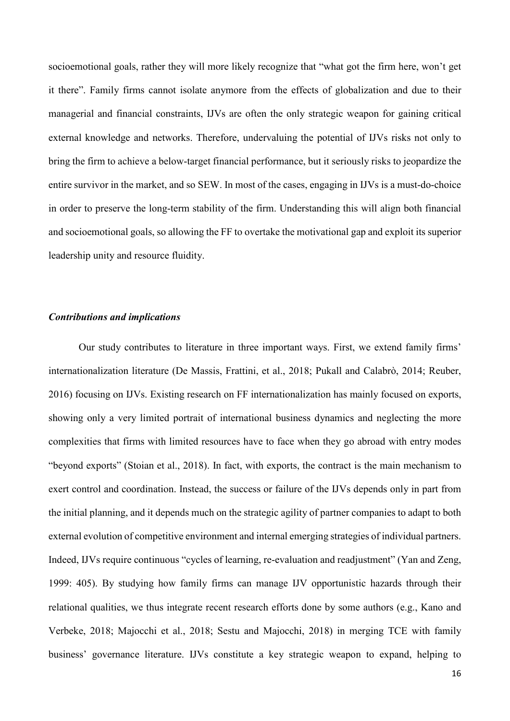socioemotional goals, rather they will more likely recognize that "what got the firm here, won't get it there". Family firms cannot isolate anymore from the effects of globalization and due to their managerial and financial constraints, IJVs are often the only strategic weapon for gaining critical external knowledge and networks. Therefore, undervaluing the potential of IJVs risks not only to bring the firm to achieve a below-target financial performance, but it seriously risks to jeopardize the entire survivor in the market, and so SEW. In most of the cases, engaging in IJVs is a must-do-choice in order to preserve the long-term stability of the firm. Understanding this will align both financial and socioemotional goals, so allowing the FF to overtake the motivational gap and exploit its superior leadership unity and resource fluidity.

#### *Contributions and implications*

Our study contributes to literature in three important ways. First, we extend family firms' internationalization literature [\(De Massis, Frattini, et al., 2018;](#page-21-2) [Pukall and Calabrò, 2014;](#page-24-4) [Reuber,](#page-24-5)  [2016\)](#page-24-5) focusing on IJVs. Existing research on FF internationalization has mainly focused on exports, showing only a very limited portrait of international business dynamics and neglecting the more complexities that firms with limited resources have to face when they go abroad with entry modes "beyond exports" [\(Stoian et al., 2018\)](#page-25-3). In fact, with exports, the contract is the main mechanism to exert control and coordination. Instead, the success or failure of the IJVs depends only in part from the initial planning, and it depends much on the strategic agility of partner companies to adapt to both external evolution of competitive environment and internal emerging strategies of individual partners. Indeed, IJVs require continuous "cycles of learning, re-evaluation and readjustment" [\(Yan and Zeng,](#page-25-8)  [1999: 405\)](#page-25-8). By studying how family firms can manage IJV opportunistic hazards through their relational qualities, we thus integrate recent research efforts done by some authors (e.g., [Kano and](#page-22-2)  [Verbeke, 2018;](#page-22-2) [Majocchi et al., 2018;](#page-23-3) [Sestu and Majocchi, 2018\)](#page-24-3) in merging TCE with family business' governance literature. IJVs constitute a key strategic weapon to expand, helping to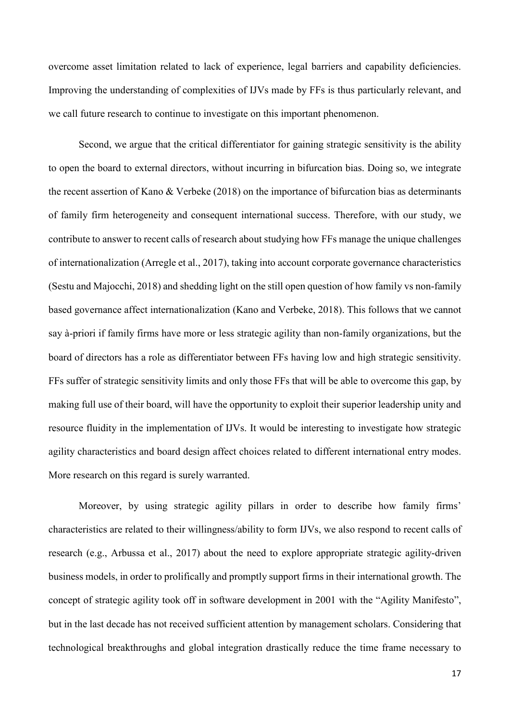overcome asset limitation related to lack of experience, legal barriers and capability deficiencies. Improving the understanding of complexities of IJVs made by FFs is thus particularly relevant, and we call future research to continue to investigate on this important phenomenon.

Second, we argue that the critical differentiator for gaining strategic sensitivity is the ability to open the board to external directors, without incurring in bifurcation bias. Doing so, we integrate the recent assertion of Kano & Verbeke (2018) on the importance of bifurcation bias as determinants of family firm heterogeneity and consequent international success. Therefore, with our study, we contribute to answer to recent calls of research about studying how FFs manage the unique challenges of internationalization [\(Arregle et al., 2017\)](#page-19-12), taking into account corporate governance characteristics [\(Sestu and Majocchi, 2018\)](#page-24-3) and shedding light on the still open question of how family vs non-family based governance affect internationalization [\(Kano and Verbeke, 2018\)](#page-22-2). This follows that we cannot say à-priori if family firms have more or less strategic agility than non-family organizations, but the board of directors has a role as differentiator between FFs having low and high strategic sensitivity. FFs suffer of strategic sensitivity limits and only those FFs that will be able to overcome this gap, by making full use of their board, will have the opportunity to exploit their superior leadership unity and resource fluidity in the implementation of IJVs. It would be interesting to investigate how strategic agility characteristics and board design affect choices related to different international entry modes. More research on this regard is surely warranted.

Moreover, by using strategic agility pillars in order to describe how family firms' characteristics are related to their willingness/ability to form IJVs, we also respond to recent calls of research [\(e.g., Arbussa et al., 2017\)](#page-19-3) about the need to explore appropriate strategic agility-driven business models, in order to prolifically and promptly support firms in their international growth. The concept of strategic agility took off in software development in 2001 with the "Agility Manifesto", but in the last decade has not received sufficient attention by management scholars. Considering that technological breakthroughs and global integration drastically reduce the time frame necessary to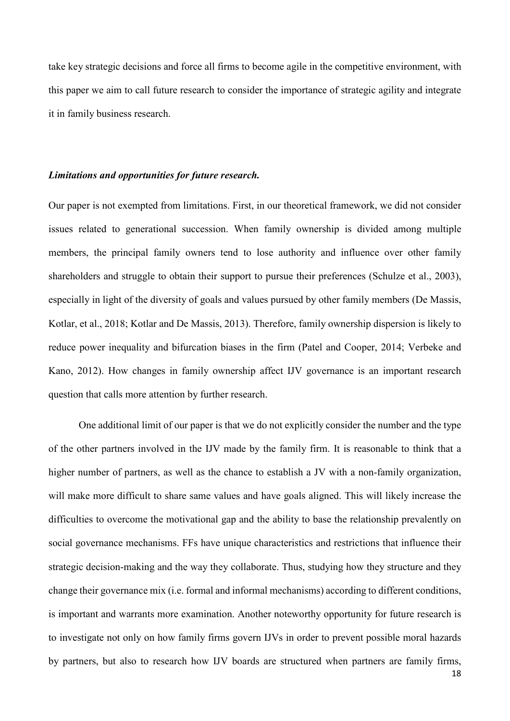take key strategic decisions and force all firms to become agile in the competitive environment, with this paper we aim to call future research to consider the importance of strategic agility and integrate it in family business research.

# *Limitations and opportunities for future research.*

Our paper is not exempted from limitations. First, in our theoretical framework, we did not consider issues related to generational succession. When family ownership is divided among multiple members, the principal family owners tend to lose authority and influence over other family shareholders and struggle to obtain their support to pursue their preferences [\(Schulze et al., 2003\)](#page-24-13), especially in light of the diversity of goals and values pursued by other family members [\(De Massis,](#page-21-10)  [Kotlar, et al., 2018;](#page-21-10) [Kotlar and De Massis, 2013\)](#page-22-11). Therefore, family ownership dispersion is likely to reduce power inequality and bifurcation biases in the firm [\(Patel and Cooper, 2014;](#page-24-11) [Verbeke and](#page-25-1)  [Kano, 2012\)](#page-25-1). How changes in family ownership affect IJV governance is an important research question that calls more attention by further research.

One additional limit of our paper is that we do not explicitly consider the number and the type of the other partners involved in the IJV made by the family firm. It is reasonable to think that a higher number of partners, as well as the chance to establish a JV with a non-family organization, will make more difficult to share same values and have goals aligned. This will likely increase the difficulties to overcome the motivational gap and the ability to base the relationship prevalently on social governance mechanisms. FFs have unique characteristics and restrictions that influence their strategic decision-making and the way they collaborate. Thus, studying how they structure and they change their governance mix (i.e. formal and informal mechanisms) according to different conditions, is important and warrants more examination. Another noteworthy opportunity for future research is to investigate not only on how family firms govern IJVs in order to prevent possible moral hazards by partners, but also to research how IJV boards are structured when partners are family firms,

18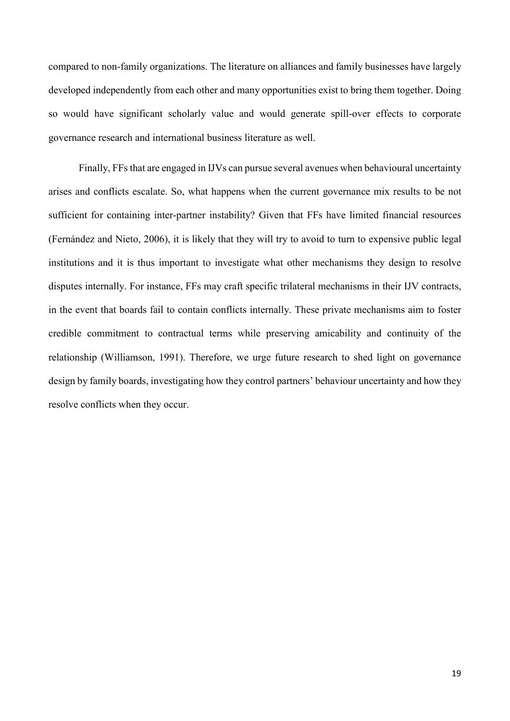compared to non-family organizations. The literature on alliances and family businesses have largely developed independently from each other and many opportunities exist to bring them together. Doing so would have significant scholarly value and would generate spill-over effects to corporate governance research and international business literature as well.

Finally, FFs that are engaged in IJVs can pursue several avenues when behavioural uncertainty arises and conflicts escalate. So, what happens when the current governance mix results to be not sufficient for containing inter-partner instability? Given that FFs have limited financial resources [\(Fernández and Nieto, 2006\)](#page-21-11), it is likely that they will try to avoid to turn to expensive public legal institutions and it is thus important to investigate what other mechanisms they design to resolve disputes internally. For instance, FFs may craft specific trilateral mechanisms in their IJV contracts, in the event that boards fail to contain conflicts internally. These private mechanisms aim to foster credible commitment to contractual terms while preserving amicability and continuity of the relationship [\(Williamson, 1991\)](#page-25-9). Therefore, we urge future research to shed light on governance design by family boards, investigating how they control partners' behaviour uncertainty and how they resolve conflicts when they occur.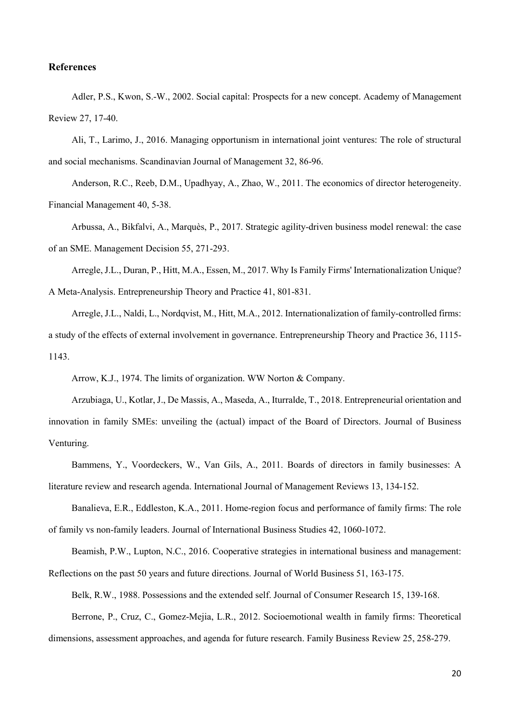## **References**

<span id="page-19-11"></span>Adler, P.S., Kwon, S.-W., 2002. Social capital: Prospects for a new concept. Academy of Management Review 27, 17-40.

<span id="page-19-0"></span>Ali, T., Larimo, J., 2016. Managing opportunism in international joint ventures: The role of structural and social mechanisms. Scandinavian Journal of Management 32, 86-96.

<span id="page-19-4"></span>Anderson, R.C., Reeb, D.M., Upadhyay, A., Zhao, W., 2011. The economics of director heterogeneity. Financial Management 40, 5-38.

<span id="page-19-3"></span>Arbussa, A., Bikfalvi, A., Marquès, P., 2017. Strategic agility-driven business model renewal: the case of an SME. Management Decision 55, 271-293.

<span id="page-19-12"></span>Arregle, J.L., Duran, P., Hitt, M.A., Essen, M., 2017. Why Is Family Firms' Internationalization Unique? A Meta‐Analysis. Entrepreneurship Theory and Practice 41, 801-831.

<span id="page-19-6"></span>Arregle, J.L., Naldi, L., Nordqvist, M., Hitt, M.A., 2012. Internationalization of family‐controlled firms: a study of the effects of external involvement in governance. Entrepreneurship Theory and Practice 36, 1115- 1143.

Arrow, K.J., 1974. The limits of organization. WW Norton & Company.

<span id="page-19-10"></span><span id="page-19-8"></span>Arzubiaga, U., Kotlar, J., De Massis, A., Maseda, A., Iturralde, T., 2018. Entrepreneurial orientation and innovation in family SMEs: unveiling the (actual) impact of the Board of Directors. Journal of Business Venturing.

<span id="page-19-5"></span>Bammens, Y., Voordeckers, W., Van Gils, A., 2011. Boards of directors in family businesses: A literature review and research agenda. International Journal of Management Reviews 13, 134-152.

<span id="page-19-7"></span>Banalieva, E.R., Eddleston, K.A., 2011. Home-region focus and performance of family firms: The role of family vs non-family leaders. Journal of International Business Studies 42, 1060-1072.

<span id="page-19-1"></span>Beamish, P.W., Lupton, N.C., 2016. Cooperative strategies in international business and management: Reflections on the past 50 years and future directions. Journal of World Business 51, 163-175.

<span id="page-19-9"></span>Belk, R.W., 1988. Possessions and the extended self. Journal of Consumer Research 15, 139-168.

<span id="page-19-2"></span>Berrone, P., Cruz, C., Gomez-Mejia, L.R., 2012. Socioemotional wealth in family firms: Theoretical dimensions, assessment approaches, and agenda for future research. Family Business Review 25, 258-279.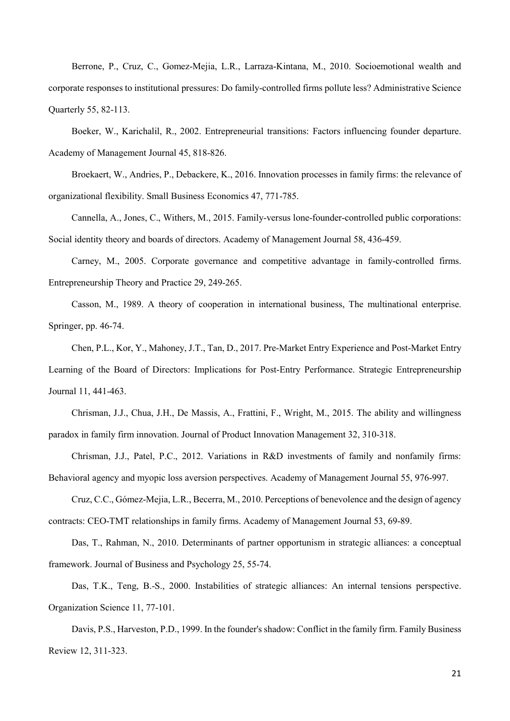<span id="page-20-12"></span>Berrone, P., Cruz, C., Gomez-Mejia, L.R., Larraza-Kintana, M., 2010. Socioemotional wealth and corporate responses to institutional pressures: Do family-controlled firms pollute less? Administrative Science Quarterly 55, 82-113.

<span id="page-20-6"></span>Boeker, W., Karichalil, R., 2002. Entrepreneurial transitions: Factors influencing founder departure. Academy of Management Journal 45, 818-826.

<span id="page-20-9"></span>Broekaert, W., Andries, P., Debackere, K., 2016. Innovation processes in family firms: the relevance of organizational flexibility. Small Business Economics 47, 771-785.

<span id="page-20-5"></span>Cannella, A., Jones, C., Withers, M., 2015. Family-versus lone-founder-controlled public corporations: Social identity theory and boards of directors. Academy of Management Journal 58, 436-459.

<span id="page-20-4"></span>Carney, M., 2005. Corporate governance and competitive advantage in family‐controlled firms. Entrepreneurship Theory and Practice 29, 249-265.

<span id="page-20-11"></span>Casson, M., 1989. A theory of cooperation in international business, The multinational enterprise. Springer, pp. 46-74.

<span id="page-20-3"></span>Chen, P.L., Kor, Y., Mahoney, J.T., Tan, D., 2017. Pre‐Market Entry Experience and Post‐Market Entry Learning of the Board of Directors: Implications for Post‐Entry Performance. Strategic Entrepreneurship Journal 11, 441-463.

<span id="page-20-1"></span>Chrisman, J.J., Chua, J.H., De Massis, A., Frattini, F., Wright, M., 2015. The ability and willingness paradox in family firm innovation. Journal of Product Innovation Management 32, 310-318.

<span id="page-20-2"></span>Chrisman, J.J., Patel, P.C., 2012. Variations in R&D investments of family and nonfamily firms: Behavioral agency and myopic loss aversion perspectives. Academy of Management Journal 55, 976-997.

<span id="page-20-8"></span>Cruz, C.C., Gómez-Mejia, L.R., Becerra, M., 2010. Perceptions of benevolence and the design of agency contracts: CEO-TMT relationships in family firms. Academy of Management Journal 53, 69-89.

<span id="page-20-0"></span>Das, T., Rahman, N., 2010. Determinants of partner opportunism in strategic alliances: a conceptual framework. Journal of Business and Psychology 25, 55-74.

<span id="page-20-10"></span>Das, T.K., Teng, B.-S., 2000. Instabilities of strategic alliances: An internal tensions perspective. Organization Science 11, 77-101.

<span id="page-20-7"></span>Davis, P.S., Harveston, P.D., 1999. In the founder's shadow: Conflict in the family firm. Family Business Review 12, 311-323.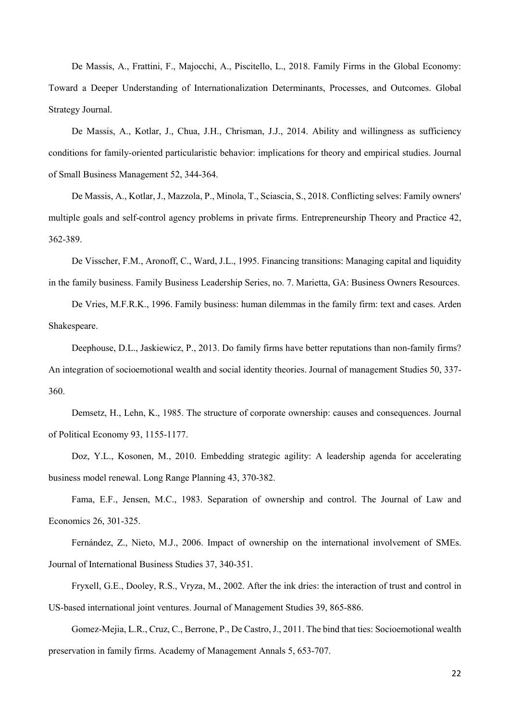<span id="page-21-2"></span>De Massis, A., Frattini, F., Majocchi, A., Piscitello, L., 2018. Family Firms in the Global Economy: Toward a Deeper Understanding of Internationalization Determinants, Processes, and Outcomes. Global Strategy Journal.

<span id="page-21-4"></span>De Massis, A., Kotlar, J., Chua, J.H., Chrisman, J.J., 2014. Ability and willingness as sufficiency conditions for family‐oriented particularistic behavior: implications for theory and empirical studies. Journal of Small Business Management 52, 344-364.

<span id="page-21-10"></span>De Massis, A., Kotlar, J., Mazzola, P., Minola, T., Sciascia, S., 2018. Conflicting selves: Family owners' multiple goals and self-control agency problems in private firms. Entrepreneurship Theory and Practice 42, 362-389.

<span id="page-21-9"></span>De Visscher, F.M., Aronoff, C., Ward, J.L., 1995. Financing transitions: Managing capital and liquidity in the family business. Family Business Leadership Series, no. 7. Marietta, GA: Business Owners Resources.

<span id="page-21-6"></span>De Vries, M.F.R.K., 1996. Family business: human dilemmas in the family firm: text and cases. Arden Shakespeare.

<span id="page-21-8"></span>Deephouse, D.L., Jaskiewicz, P., 2013. Do family firms have better reputations than non-family firms? An integration of socioemotional wealth and social identity theories. Journal of management Studies 50, 337- 360.

<span id="page-21-7"></span>Demsetz, H., Lehn, K., 1985. The structure of corporate ownership: causes and consequences. Journal of Political Economy 93, 1155-1177.

<span id="page-21-1"></span>Doz, Y.L., Kosonen, M., 2010. Embedding strategic agility: A leadership agenda for accelerating business model renewal. Long Range Planning 43, 370-382.

<span id="page-21-5"></span>Fama, E.F., Jensen, M.C., 1983. Separation of ownership and control. The Journal of Law and Economics 26, 301-325.

<span id="page-21-11"></span>Fernández, Z., Nieto, M.J., 2006. Impact of ownership on the international involvement of SMEs. Journal of International Business Studies 37, 340-351.

<span id="page-21-0"></span>Fryxell, G.E., Dooley, R.S., Vryza, M., 2002. After the ink dries: the interaction of trust and control in US‐based international joint ventures. Journal of Management Studies 39, 865-886.

<span id="page-21-3"></span>Gomez-Mejia, L.R., Cruz, C., Berrone, P., De Castro, J., 2011. The bind that ties: Socioemotional wealth preservation in family firms. Academy of Management Annals 5, 653-707.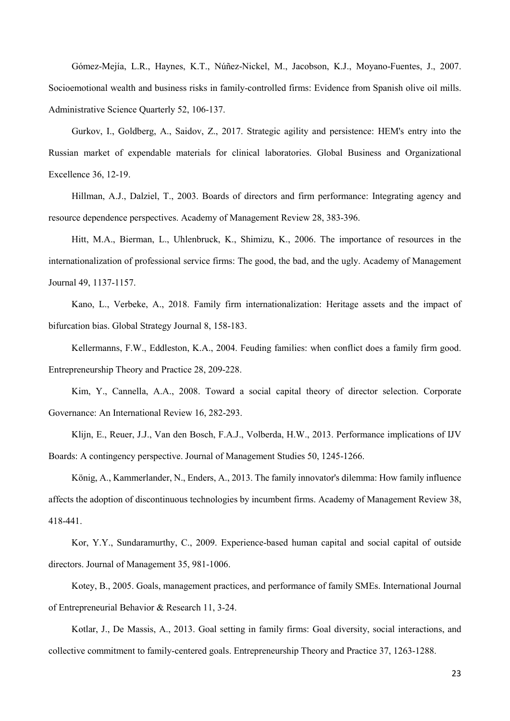<span id="page-22-1"></span>Gómez-Mejía, L.R., Haynes, K.T., Núñez-Nickel, M., Jacobson, K.J., Moyano-Fuentes, J., 2007. Socioemotional wealth and business risks in family-controlled firms: Evidence from Spanish olive oil mills. Administrative Science Quarterly 52, 106-137.

<span id="page-22-9"></span>Gurkov, I., Goldberg, A., Saidov, Z., 2017. Strategic agility and persistence: HEM's entry into the Russian market of expendable materials for clinical laboratories. Global Business and Organizational Excellence 36, 12-19.

<span id="page-22-7"></span>Hillman, A.J., Dalziel, T., 2003. Boards of directors and firm performance: Integrating agency and resource dependence perspectives. Academy of Management Review 28, 383-396.

<span id="page-22-8"></span>Hitt, M.A., Bierman, L., Uhlenbruck, K., Shimizu, K., 2006. The importance of resources in the internationalization of professional service firms: The good, the bad, and the ugly. Academy of Management Journal 49, 1137-1157.

<span id="page-22-2"></span>Kano, L., Verbeke, A., 2018. Family firm internationalization: Heritage assets and the impact of bifurcation bias. Global Strategy Journal 8, 158-183.

<span id="page-22-10"></span>Kellermanns, F.W., Eddleston, K.A., 2004. Feuding families: when conflict does a family firm good. Entrepreneurship Theory and Practice 28, 209-228.

<span id="page-22-6"></span>Kim, Y., Cannella, A.A., 2008. Toward a social capital theory of director selection. Corporate Governance: An International Review 16, 282-293.

<span id="page-22-0"></span>Klijn, E., Reuer, J.J., Van den Bosch, F.A.J., Volberda, H.W., 2013. Performance implications of IJV Boards: A contingency perspective. Journal of Management Studies 50, 1245-1266.

<span id="page-22-3"></span>König, A., Kammerlander, N., Enders, A., 2013. The family innovator's dilemma: How family influence affects the adoption of discontinuous technologies by incumbent firms. Academy of Management Review 38, 418-441.

<span id="page-22-5"></span>Kor, Y.Y., Sundaramurthy, C., 2009. Experience-based human capital and social capital of outside directors. Journal of Management 35, 981-1006.

<span id="page-22-4"></span>Kotey, B., 2005. Goals, management practices, and performance of family SMEs. International Journal of Entrepreneurial Behavior & Research 11, 3-24.

<span id="page-22-11"></span>Kotlar, J., De Massis, A., 2013. Goal setting in family firms: Goal diversity, social interactions, and collective commitment to family‐centered goals. Entrepreneurship Theory and Practice 37, 1263-1288.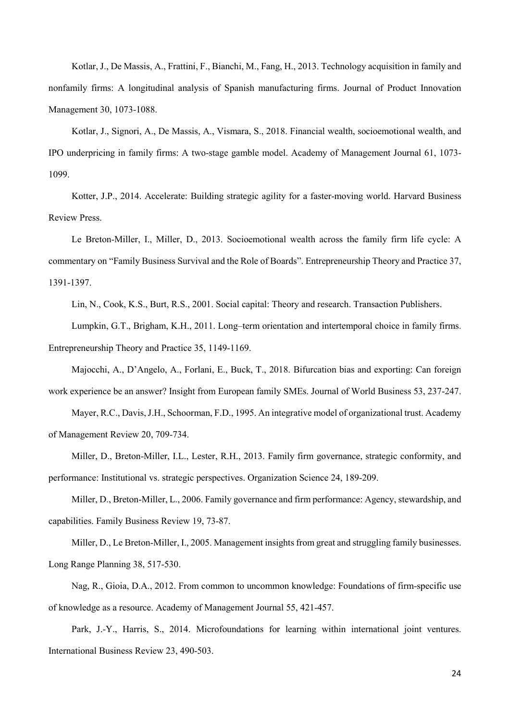<span id="page-23-4"></span>Kotlar, J., De Massis, A., Frattini, F., Bianchi, M., Fang, H., 2013. Technology acquisition in family and nonfamily firms: A longitudinal analysis of Spanish manufacturing firms. Journal of Product Innovation Management 30, 1073-1088.

<span id="page-23-1"></span>Kotlar, J., Signori, A., De Massis, A., Vismara, S., 2018. Financial wealth, socioemotional wealth, and IPO underpricing in family firms: A two-stage gamble model. Academy of Management Journal 61, 1073- 1099.

<span id="page-23-5"></span>Kotter, J.P., 2014. Accelerate: Building strategic agility for a faster-moving world. Harvard Business Review Press.

<span id="page-23-6"></span>Le Breton‐Miller, I., Miller, D., 2013. Socioemotional wealth across the family firm life cycle: A commentary on "Family Business Survival and the Role of Boards". Entrepreneurship Theory and Practice 37, 1391-1397.

Lin, N., Cook, K.S., Burt, R.S., 2001. Social capital: Theory and research. Transaction Publishers.

<span id="page-23-12"></span><span id="page-23-11"></span>Lumpkin, G.T., Brigham, K.H., 2011. Long–term orientation and intertemporal choice in family firms. Entrepreneurship Theory and Practice 35, 1149-1169.

<span id="page-23-3"></span>Majocchi, A., D'Angelo, A., Forlani, E., Buck, T., 2018. Bifurcation bias and exporting: Can foreign work experience be an answer? Insight from European family SMEs. Journal of World Business 53, 237-247.

<span id="page-23-10"></span>Mayer, R.C., Davis, J.H., Schoorman, F.D., 1995. An integrative model of organizational trust. Academy of Management Review 20, 709-734.

<span id="page-23-2"></span>Miller, D., Breton-Miller, I.L., Lester, R.H., 2013. Family firm governance, strategic conformity, and performance: Institutional vs. strategic perspectives. Organization Science 24, 189-209.

<span id="page-23-7"></span>Miller, D., Breton-Miller, L., 2006. Family governance and firm performance: Agency, stewardship, and capabilities. Family Business Review 19, 73-87.

<span id="page-23-9"></span>Miller, D., Le Breton-Miller, I., 2005. Management insights from great and struggling family businesses. Long Range Planning 38, 517-530.

<span id="page-23-8"></span>Nag, R., Gioia, D.A., 2012. From common to uncommon knowledge: Foundations of firm-specific use of knowledge as a resource. Academy of Management Journal 55, 421-457.

<span id="page-23-0"></span>Park, J.-Y., Harris, S., 2014. Microfoundations for learning within international joint ventures. International Business Review 23, 490-503.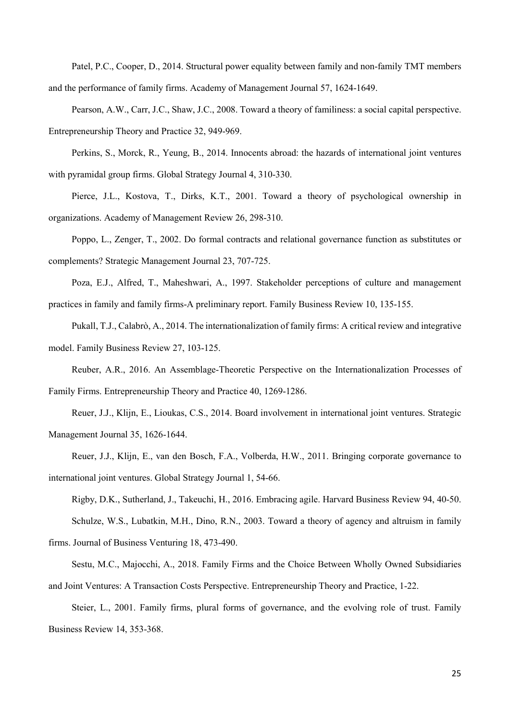<span id="page-24-11"></span>Patel, P.C., Cooper, D., 2014. Structural power equality between family and non-family TMT members and the performance of family firms. Academy of Management Journal 57, 1624-1649.

<span id="page-24-8"></span>Pearson, A.W., Carr, J.C., Shaw, J.C., 2008. Toward a theory of familiness: a social capital perspective. Entrepreneurship Theory and Practice 32, 949-969.

<span id="page-24-0"></span>Perkins, S., Morck, R., Yeung, B., 2014. Innocents abroad: the hazards of international joint ventures with pyramidal group firms. Global Strategy Journal 4, 310-330.

<span id="page-24-7"></span>Pierce, J.L., Kostova, T., Dirks, K.T., 2001. Toward a theory of psychological ownership in organizations. Academy of Management Review 26, 298-310.

<span id="page-24-6"></span>Poppo, L., Zenger, T., 2002. Do formal contracts and relational governance function as substitutes or complements? Strategic Management Journal 23, 707-725.

<span id="page-24-9"></span>Poza, E.J., Alfred, T., Maheshwari, A., 1997. Stakeholder perceptions of culture and management practices in family and family firms-A preliminary report. Family Business Review 10, 135-155.

<span id="page-24-4"></span>Pukall, T.J., Calabrò, A., 2014. The internationalization of family firms: A critical review and integrative model. Family Business Review 27, 103-125.

<span id="page-24-5"></span>Reuber, A.R., 2016. An Assemblage‐Theoretic Perspective on the Internationalization Processes of Family Firms. Entrepreneurship Theory and Practice 40, 1269-1286.

<span id="page-24-1"></span>Reuer, J.J., Klijn, E., Lioukas, C.S., 2014. Board involvement in international joint ventures. Strategic Management Journal 35, 1626-1644.

<span id="page-24-2"></span>Reuer, J.J., Klijn, E., van den Bosch, F.A., Volberda, H.W., 2011. Bringing corporate governance to international joint ventures. Global Strategy Journal 1, 54-66.

<span id="page-24-13"></span><span id="page-24-10"></span>Rigby, D.K., Sutherland, J., Takeuchi, H., 2016. Embracing agile. Harvard Business Review 94, 40-50. Schulze, W.S., Lubatkin, M.H., Dino, R.N., 2003. Toward a theory of agency and altruism in family firms. Journal of Business Venturing 18, 473-490.

<span id="page-24-3"></span>Sestu, M.C., Majocchi, A., 2018. Family Firms and the Choice Between Wholly Owned Subsidiaries and Joint Ventures: A Transaction Costs Perspective. Entrepreneurship Theory and Practice, 1-22.

<span id="page-24-12"></span>Steier, L., 2001. Family firms, plural forms of governance, and the evolving role of trust. Family Business Review 14, 353-368.